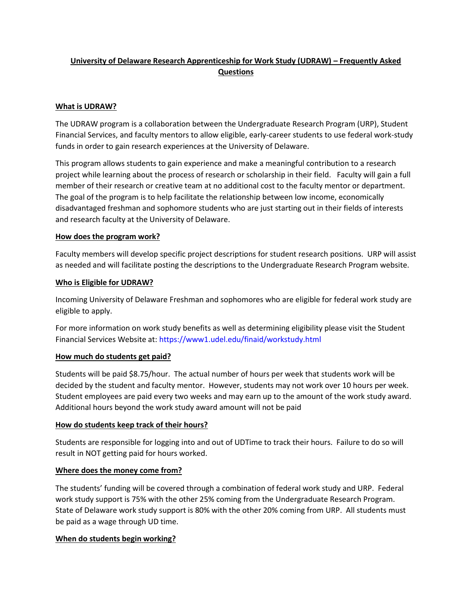# **University of Delaware Research Apprenticeship for Work Study (UDRAW) – Frequently Asked Questions**

# **What is UDRAW?**

The UDRAW program is a collaboration between the Undergraduate Research Program (URP), Student Financial Services, and faculty mentors to allow eligible, early-career students to use federal work-study funds in order to gain research experiences at the University of Delaware.

This program allows students to gain experience and make a meaningful contribution to a research project while learning about the process of research or scholarship in their field. Faculty will gain a full member of their research or creative team at no additional cost to the faculty mentor or department. The goal of the program is to help facilitate the relationship between low income, economically disadvantaged freshman and sophomore students who are just starting out in their fields of interests and research faculty at the University of Delaware.

### **How does the program work?**

Faculty members will develop specific project descriptions for student research positions. URP will assist as needed and will facilitate posting the descriptions to the Undergraduate Research Program website.

### **Who is Eligible for UDRAW?**

Incoming University of Delaware Freshman and sophomores who are eligible for federal work study are eligible to apply.

For more information on work study benefits as well as determining eligibility please visit the Student Financial Services Website at[: https://www1.udel.edu/finaid/workstudy.html](https://www1.udel.edu/finaid/workstudy.html)

### **How much do students get paid?**

Students will be paid \$8.75/hour. The actual number of hours per week that students work will be decided by the student and faculty mentor. However, students may not work over 10 hours per week. Student employees are paid every two weeks and may earn up to the amount of the work study award. Additional hours beyond the work study award amount will not be paid

### **How do students keep track of their hours?**

Students are responsible for logging into and out of UDTime to track their hours. Failure to do so will result in NOT getting paid for hours worked.

### **Where does the money come from?**

The students' funding will be covered through a combination of federal work study and URP. Federal work study support is 75% with the other 25% coming from the Undergraduate Research Program. State of Delaware work study support is 80% with the other 20% coming from URP. All students must be paid as a wage through UD time.

# **When do students begin working?**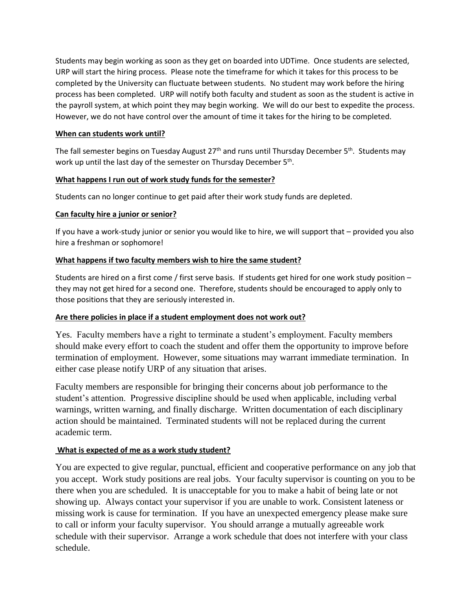Students may begin working as soon as they get on boarded into UDTime. Once students are selected, URP will start the hiring process. Please note the timeframe for which it takes for this process to be completed by the University can fluctuate between students. No student may work before the hiring process has been completed. URP will notify both faculty and student as soon as the student is active in the payroll system, at which point they may begin working. We will do our best to expedite the process. However, we do not have control over the amount of time it takes for the hiring to be completed.

# **When can students work until?**

The fall semester begins on Tuesday August 27<sup>th</sup> and runs until Thursday December 5<sup>th</sup>. Students may work up until the last day of the semester on Thursday December 5<sup>th</sup>.

# **What happens I run out of work study funds for the semester?**

Students can no longer continue to get paid after their work study funds are depleted.

# **Can faculty hire a junior or senior?**

If you have a work-study junior or senior you would like to hire, we will support that – provided you also hire a freshman or sophomore!

# **What happens if two faculty members wish to hire the same student?**

Students are hired on a first come / first serve basis. If students get hired for one work study position – they may not get hired for a second one. Therefore, students should be encouraged to apply only to those positions that they are seriously interested in.

# **Are there policies in place if a student employment does not work out?**

Yes. Faculty members have a right to terminate a student's employment. Faculty members should make every effort to coach the student and offer them the opportunity to improve before termination of employment. However, some situations may warrant immediate termination. In either case please notify URP of any situation that arises.

Faculty members are responsible for bringing their concerns about job performance to the student's attention. Progressive discipline should be used when applicable, including verbal warnings, written warning, and finally discharge. Written documentation of each disciplinary action should be maintained. Terminated students will not be replaced during the current academic term.

# **What is expected of me as a work study student?**

You are expected to give regular, punctual, efficient and cooperative performance on any job that you accept. Work study positions are real jobs. Your faculty supervisor is counting on you to be there when you are scheduled. It is unacceptable for you to make a habit of being late or not showing up. Always contact your supervisor if you are unable to work. Consistent lateness or missing work is cause for termination. If you have an unexpected emergency please make sure to call or inform your faculty supervisor. You should arrange a mutually agreeable work schedule with their supervisor. Arrange a work schedule that does not interfere with your class schedule.